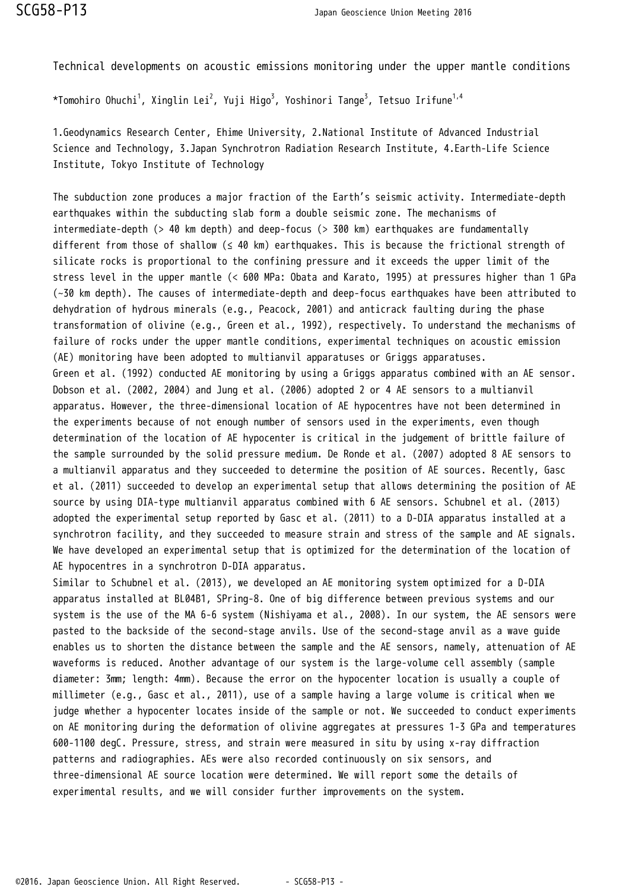Technical developments on acoustic emissions monitoring under the upper mantle conditions

\*Tomohiro Ohuchi $^1$ , Xinglin Lei $^2$ , Yuji Higo $^3$ , Yoshinori Tange $^3$ , Tetsuo Irifune $^{1,4}$ 

1.Geodynamics Research Center, Ehime University, 2.National Institute of Advanced Industrial Science and Technology, 3.Japan Synchrotron Radiation Research Institute, 4.Earth-Life Science Institute, Tokyo Institute of Technology

The subduction zone produces a major fraction of the Earth's seismic activity. Intermediate-depth earthquakes within the subducting slab form a double seismic zone. The mechanisms of intermediate-depth (> 40 km depth) and deep-focus (> 300 km) earthquakes are fundamentally different from those of shallow (≤ 40 km) earthquakes. This is because the frictional strength of silicate rocks is proportional to the confining pressure and it exceeds the upper limit of the stress level in the upper mantle (< 600 MPa: Obata and Karato, 1995) at pressures higher than 1 GPa (~30 km depth). The causes of intermediate-depth and deep-focus earthquakes have been attributed to dehydration of hydrous minerals (e.g., Peacock, 2001) and anticrack faulting during the phase transformation of olivine (e.g., Green et al., 1992), respectively. To understand the mechanisms of failure of rocks under the upper mantle conditions, experimental techniques on acoustic emission (AE) monitoring have been adopted to multianvil apparatuses or Griggs apparatuses. Green et al. (1992) conducted AE monitoring by using a Griggs apparatus combined with an AE sensor. Dobson et al. (2002, 2004) and Jung et al. (2006) adopted 2 or 4 AE sensors to a multianvil apparatus. However, the three-dimensional location of AE hypocentres have not been determined in the experiments because of not enough number of sensors used in the experiments, even though determination of the location of AE hypocenter is critical in the judgement of brittle failure of the sample surrounded by the solid pressure medium. De Ronde et al. (2007) adopted 8 AE sensors to a multianvil apparatus and they succeeded to determine the position of AE sources. Recently, Gasc et al. (2011) succeeded to develop an experimental setup that allows determining the position of AE source by using DIA-type multianvil apparatus combined with 6 AE sensors. Schubnel et al. (2013) adopted the experimental setup reported by Gasc et al. (2011) to a D-DIA apparatus installed at a synchrotron facility, and they succeeded to measure strain and stress of the sample and AE signals. We have developed an experimental setup that is optimized for the determination of the location of AE hypocentres in a synchrotron D-DIA apparatus.

Similar to Schubnel et al. (2013), we developed an AE monitoring system optimized for a D-DIA apparatus installed at BL04B1, SPring-8. One of big difference between previous systems and our system is the use of the MA 6-6 system (Nishiyama et al., 2008). In our system, the AE sensors were pasted to the backside of the second-stage anvils. Use of the second-stage anvil as a wave guide enables us to shorten the distance between the sample and the AE sensors, namely, attenuation of AE waveforms is reduced. Another advantage of our system is the large-volume cell assembly (sample diameter: 3mm; length: 4mm). Because the error on the hypocenter location is usually a couple of millimeter (e.g., Gasc et al., 2011), use of a sample having a large volume is critical when we judge whether a hypocenter locates inside of the sample or not. We succeeded to conduct experiments on AE monitoring during the deformation of olivine aggregates at pressures 1-3 GPa and temperatures 600-1100 degC. Pressure, stress, and strain were measured in situ by using x-ray diffraction patterns and radiographies. AEs were also recorded continuously on six sensors, and three-dimensional AE source location were determined. We will report some the details of experimental results, and we will consider further improvements on the system.